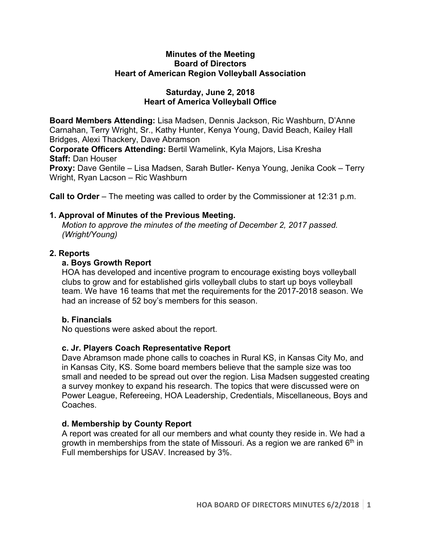#### **Minutes of the Meeting Board of Directors Heart of American Region Volleyball Association**

### **Saturday, June 2, 2018 Heart of America Volleyball Office**

**Board Members Attending:** Lisa Madsen, Dennis Jackson, Ric Washburn, D'Anne Carnahan, Terry Wright, Sr., Kathy Hunter, Kenya Young, David Beach, Kailey Hall Bridges, Alexi Thackery, Dave Abramson

**Corporate Officers Attending:** Bertil Wamelink, Kyla Majors, Lisa Kresha **Staff:** Dan Houser

**Proxy:** Dave Gentile – Lisa Madsen, Sarah Butler- Kenya Young, Jenika Cook – Terry Wright, Ryan Lacson – Ric Washburn

**Call to Order** – The meeting was called to order by the Commissioner at 12:31 p.m.

## **1. Approval of Minutes of the Previous Meeting.**

*Motion to approve the minutes of the meeting of December 2, 2017 passed. (Wright/Young)* 

## **2. Reports**

# **a. Boys Growth Report**

HOA has developed and incentive program to encourage existing boys volleyball clubs to grow and for established girls volleyball clubs to start up boys volleyball team. We have 16 teams that met the requirements for the 2017-2018 season. We had an increase of 52 boy's members for this season.

# **b. Financials**

No questions were asked about the report.

# **c. Jr. Players Coach Representative Report**

Dave Abramson made phone calls to coaches in Rural KS, in Kansas City Mo, and in Kansas City, KS. Some board members believe that the sample size was too small and needed to be spread out over the region. Lisa Madsen suggested creating a survey monkey to expand his research. The topics that were discussed were on Power League, Refereeing, HOA Leadership, Credentials, Miscellaneous, Boys and Coaches.

# **d. Membership by County Report**

A report was created for all our members and what county they reside in. We had a growth in memberships from the state of Missouri. As a region we are ranked  $6<sup>th</sup>$  in Full memberships for USAV. Increased by 3%.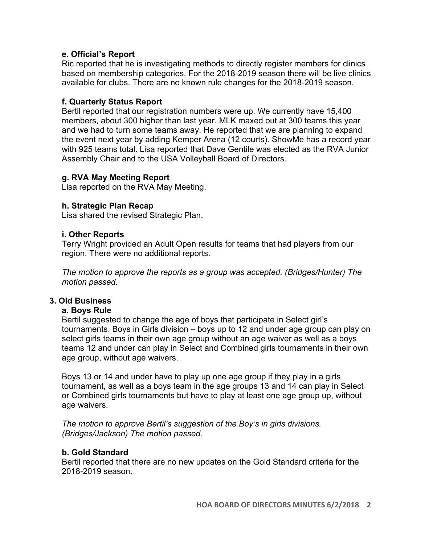### **e. Official's Report**

Ric reported that he is investigating methods to directly register members for clinics based on membership categories. For the 2018-2019 season there will be live clinics available for clubs. There are no known rule changes for the 2018-2019 season.

## **f. Quarterly Status Report**

Bertil reported that our registration numbers were up. We currently have 15,400 members, about 300 higher than last year. MLK maxed out at 300 teams this year and we had to turn some teams away. He reported that we are planning to expand the event next year by adding Kemper Arena (12 courts). ShowMe has a record year with 925 teams total. Lisa reported that Dave Gentile was elected as the RVA Junior Assembly Chair and to the USA Volleyball Board of Directors.

### **g. RVA May Meeting Report**

Lisa reported on the RVA May Meeting.

## **h. Strategic Plan Recap**

Lisa shared the revised Strategic Plan.

## **i. Other Reports**

Terry Wright provided an Adult Open results for teams that had players from our region. There were no additional reports.

*The motion to approve the reports as a group was accepted. (Bridges/Hunter) The motion passed.*

### **3. Old Business**

### **a. Boys Rule**

Bertil suggested to change the age of boys that participate in Select girl's tournaments. Boys in Girls division – boys up to 12 and under age group can play on select girls teams in their own age group without an age waiver as well as a boys teams 12 and under can play in Select and Combined girls tournaments in their own age group, without age waivers.

Boys 13 or 14 and under have to play up one age group if they play in a girls tournament, as well as a boys team in the age groups 13 and 14 can play in Select or Combined girls tournaments but have to play at least one age group up, without age waivers.

*The motion to approve Bertil's suggestion of the Boy's in girls divisions. (Bridges/Jackson) The motion passed.*

### **b. Gold Standard**

Bertil reported that there are no new updates on the Gold Standard criteria for the 2018-2019 season.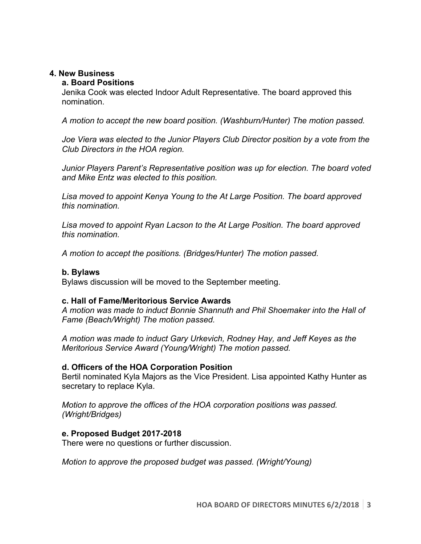### **4. New Business**

#### **a. Board Positions**

Jenika Cook was elected Indoor Adult Representative. The board approved this nomination.

*A motion to accept the new board position. (Washburn/Hunter) The motion passed.*

*Joe Viera was elected to the Junior Players Club Director position by a vote from the Club Directors in the HOA region.*

*Junior Players Parent's Representative position was up for election. The board voted and Mike Entz was elected to this position.* 

*Lisa moved to appoint Kenya Young to the At Large Position. The board approved this nomination.* 

*Lisa moved to appoint Ryan Lacson to the At Large Position. The board approved this nomination.* 

*A motion to accept the positions. (Bridges/Hunter) The motion passed.*

### **b. Bylaws**

Bylaws discussion will be moved to the September meeting.

### **c. Hall of Fame/Meritorious Service Awards**

*A motion was made to induct Bonnie Shannuth and Phil Shoemaker into the Hall of Fame (Beach/Wright) The motion passed.* 

*A motion was made to induct Gary Urkevich, Rodney Hay, and Jeff Keyes as the Meritorious Service Award (Young/Wright) The motion passed.* 

### **d. Officers of the HOA Corporation Position**

Bertil nominated Kyla Majors as the Vice President. Lisa appointed Kathy Hunter as secretary to replace Kyla.

*Motion to approve the offices of the HOA corporation positions was passed. (Wright/Bridges)* 

### **e. Proposed Budget 2017-2018**

There were no questions or further discussion.

*Motion to approve the proposed budget was passed. (Wright/Young)*